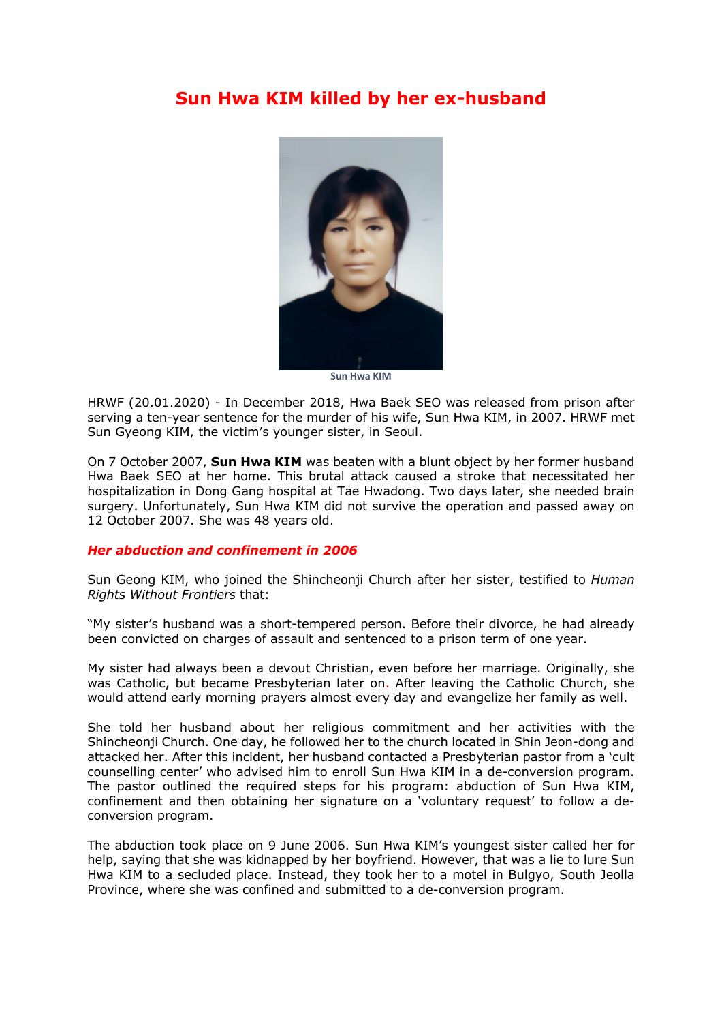## **Sun Hwa KIM killed by her ex-husband**



**Sun Hwa KIM**

HRWF (20.01.2020) - In December 2018, Hwa Baek SEO was released from prison after serving a ten-year sentence for the murder of his wife, Sun Hwa KIM, in 2007. HRWF met Sun Gyeong KIM, the victim's younger sister, in Seoul.

On 7 October 2007, **Sun Hwa KIM** was beaten with a blunt object by her former husband Hwa Baek SEO at her home. This brutal attack caused a stroke that necessitated her hospitalization in Dong Gang hospital at Tae Hwadong. Two days later, she needed brain surgery. Unfortunately, Sun Hwa KIM did not survive the operation and passed away on 12 October 2007. She was 48 years old.

## *Her abduction and confinement in 2006*

Sun Geong KIM, who joined the Shincheonji Church after her sister, testified to *Human Rights Without Frontiers* that:

"My sister's husband was a short-tempered person. Before their divorce, he had already been convicted on charges of assault and sentenced to a prison term of one year.

My sister had always been a devout Christian, even before her marriage. Originally, she was Catholic, but became Presbyterian later on. After leaving the Catholic Church, she would attend early morning prayers almost every day and evangelize her family as well.

She told her husband about her religious commitment and her activities with the Shincheonji Church. One day, he followed her to the church located in Shin Jeon-dong and attacked her. After this incident, her husband contacted a Presbyterian pastor from a 'cult counselling center' who advised him to enroll Sun Hwa KIM in a de-conversion program. The pastor outlined the required steps for his program: abduction of Sun Hwa KIM, confinement and then obtaining her signature on a 'voluntary request' to follow a deconversion program.

The abduction took place on 9 June 2006. Sun Hwa KIM's youngest sister called her for help, saying that she was kidnapped by her boyfriend. However, that was a lie to lure Sun Hwa KIM to a secluded place. Instead, they took her to a motel in Bulgyo, South Jeolla Province, where she was confined and submitted to a de-conversion program.